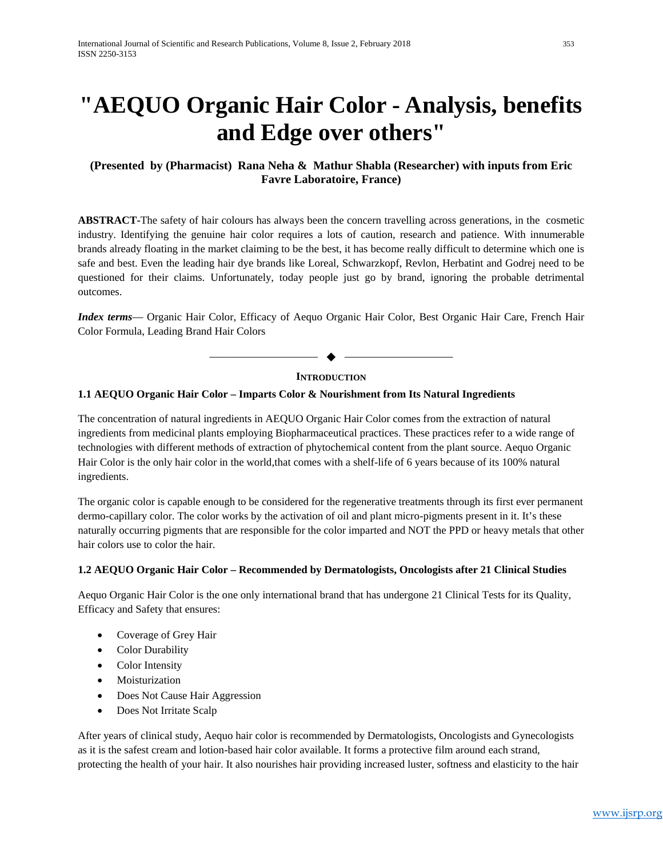# **"AEQUO Organic Hair Color - Analysis, benefits and Edge over others"**

## **(Presented by (Pharmacist) Rana Neha & Mathur Shabla (Researcher) with inputs from Eric Favre Laboratoire, France)**

**ABSTRACT-**The safety of hair colours has always been the concern travelling across generations, in the cosmetic industry. Identifying the genuine hair color requires a lots of caution, research and patience. With innumerable brands already floating in the market claiming to be the best, it has become really difficult to determine which one is safe and best. Even the leading hair dye brands like Loreal, Schwarzkopf, Revlon, Herbatint and Godrej need to be questioned for their claims. Unfortunately, today people just go by brand, ignoring the probable detrimental outcomes.

*Index terms*— Organic Hair Color, Efficacy of Aequo Organic Hair Color, Best Organic Hair Care, French Hair Color Formula, Leading Brand Hair Colors

## —————————— —————————— **INTRODUCTION**

## **1.1 AEQUO Organic Hair Color – Imparts Color & Nourishment from Its Natural Ingredients**

The concentration of natural ingredients in AEQUO Organic Hair Color comes from the extraction of natural ingredients from medicinal plants employing Biopharmaceutical practices. These practices refer to a wide range of technologies with different methods of extraction of phytochemical content from the plant source. Aequo Organic Hair Color is the only hair color in the world,that comes with a shelf-life of 6 years because of its 100% natural ingredients.

The organic color is capable enough to be considered for the regenerative treatments through its first ever permanent dermo-capillary color. The color works by the activation of oil and plant micro-pigments present in it. It's these naturally occurring pigments that are responsible for the color imparted and NOT the PPD or heavy metals that other hair colors use to color the hair.

#### **1.2 AEQUO Organic Hair Color – Recommended by Dermatologists, Oncologists after 21 Clinical Studies**

Aequo Organic Hair Color is the one only international brand that has undergone 21 Clinical Tests for its Quality, Efficacy and Safety that ensures:

- Coverage of Grey Hair
- Color Durability
- <span id="page-0-0"></span>• Color Intensity
- Moisturization
- Does Not Cause Hair Aggression
- Does Not Irritate Scalp

After years of clinical study, Aequo hair color is recommended by Dermatologists, Oncologists and Gynecologists as it is the safest cream and lotion-based hair color available. It forms a protective film around each strand, protecting the health of your hair. It also nourishes hair providing increased luster, softness and elasticity to the hair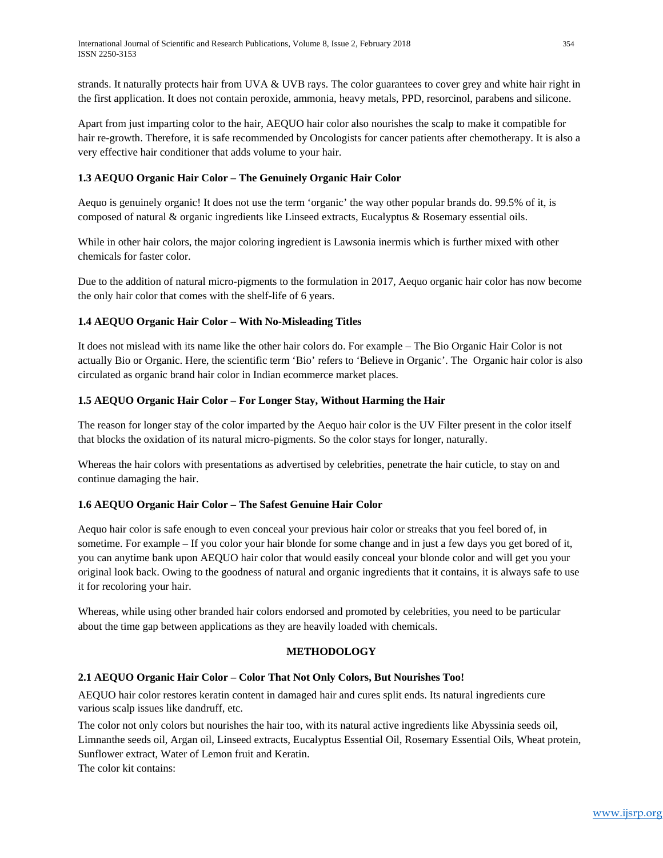strands. It naturally protects hair from UVA & UVB rays. The color guarantees to cover grey and white hair right in the first application. It does not contain peroxide, ammonia, heavy metals, PPD, resorcinol, parabens and silicone.

Apart from just imparting color to the hair, AEQUO hair color also nourishes the scalp to make it compatible for hair re-growth. Therefore, it is safe recommended by Oncologists for cancer patients after chemotherapy. It is also a very effective hair conditioner that adds volume to your hair.

## **1.3 AEQUO Organic Hair Color – The Genuinely Organic Hair Color**

Aequo is genuinely organic! It does not use the term 'organic' the way other popular brands do. 99.5% of it, is composed of natural & organic ingredients like Linseed extracts, Eucalyptus & Rosemary essential oils.

While in other hair colors, the major coloring ingredient is Lawsonia inermis which is further mixed with other chemicals for faster color.

Due to the addition of natural micro-pigments to the formulation in 2017, Aequo organic hair color has now become the only hair color that comes with the shelf-life of 6 years.

## **1.4 AEQUO Organic Hair Color – With No-Misleading Titles**

It does not mislead with its name like the other hair colors do. For example – The Bio Organic Hair Color is not actually Bio or Organic. Here, the scientific term 'Bio' refers to 'Believe in Organic'. The Organic hair color is also circulated as organic brand hair color in Indian ecommerce market places.

## **1.5 AEQUO Organic Hair Color – For Longer Stay, Without Harming the Hair**

The reason for longer stay of the color imparted by the Aequo hair color is the UV Filter present in the color itself that blocks the oxidation of its natural micro-pigments. So the color stays for longer, naturally.

Whereas the hair colors with presentations as advertised by celebrities, penetrate the hair cuticle, to stay on and continue damaging the hair.

## **1.6 AEQUO Organic Hair Color – The Safest Genuine Hair Color**

Aequo hair color is safe enough to even conceal your previous hair color or streaks that you feel bored of, in sometime. For example – If you color your hair blonde for some change and in just a few days you get bored of it, you can anytime bank upon AEQUO hair color that would easily conceal your blonde color and will get you your original look back. Owing to the goodness of natural and organic ingredients that it contains, it is always safe to use it for recoloring your hair.

Whereas, while using other branded hair colors endorsed and promoted by celebrities, you need to be particular about the time gap between applications as they are heavily loaded with chemicals.

## **METHODOLOGY**

## **2.1 AEQUO Organic Hair Color – Color That Not Only Colors, But Nourishes Too!**

AEQUO hair color restores keratin content in damaged hair and cures split ends. Its natural ingredients cure various scalp issues like dandruff, etc.

The color not only colors but nourishes the hair too, with its natural active ingredients like Abyssinia seeds oil, Limnanthe seeds oil, Argan oil, Linseed extracts, Eucalyptus Essential Oil, Rosemary Essential Oils, Wheat protein, Sunflower extract, Water of Lemon fruit and Keratin. The color kit contains: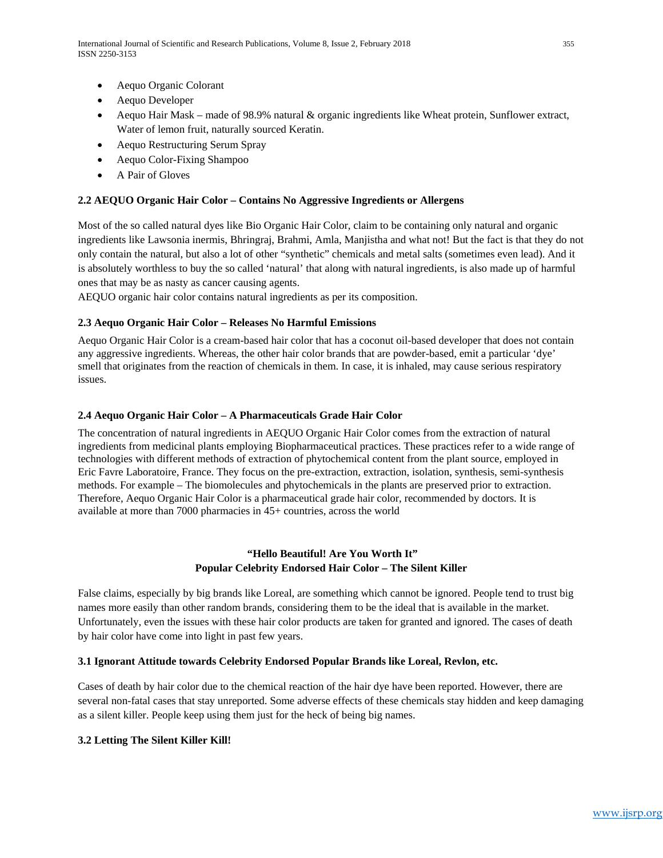International Journal of Scientific and Research Publications, Volume 8, Issue 2, February 2018 355 ISSN 2250-3153

- Aequo Organic Colorant
- Aequo Developer
- Aequo Hair Mask made of 98.9% natural & organic ingredients like Wheat protein, Sunflower extract, Water of lemon fruit, naturally sourced Keratin.
- Aequo Restructuring Serum Spray
- Aequo Color-Fixing Shampoo
- A Pair of Gloves

#### **2.2 AEQUO Organic Hair Color – Contains No Aggressive Ingredients or Allergens**

Most of the so called natural dyes like Bio Organic Hair Color, claim to be containing only natural and organic ingredients like Lawsonia inermis, Bhringraj, Brahmi, Amla, Manjistha and what not! But the fact is that they do not only contain the natural, but also a lot of other "synthetic" chemicals and metal salts (sometimes even lead). And it is absolutely worthless to buy the so called 'natural' that along with natural ingredients, is also made up of harmful ones that may be as nasty as cancer causing agents.

AEQUO organic hair color contains natural ingredients as per its composition.

#### **2.3 Aequo Organic Hair Color – Releases No Harmful Emissions**

Aequo Organic Hair Color is a cream-based hair color that has a coconut oil-based developer that does not contain any aggressive ingredients. Whereas, the other hair color brands that are powder-based, emit a particular 'dye' smell that originates from the reaction of chemicals in them. In case, it is inhaled, may cause serious respiratory issues.

#### **2.4 Aequo Organic Hair Color – A Pharmaceuticals Grade Hair Color**

The concentration of natural ingredients in AEQUO Organic Hair Color comes from the extraction of natural ingredients from medicinal plants employing Biopharmaceutical practices. These practices refer to a wide range of technologies with different methods of extraction of phytochemical content from the plant source, employed in Eric Favre Laboratoire, France. They focus on the pre-extraction, extraction, isolation, synthesis, semi-synthesis methods. For example – The biomolecules and phytochemicals in the plants are preserved prior to extraction. Therefore, Aequo Organic Hair Color is a pharmaceutical grade hair color, recommended by doctors. It is available at more than 7000 pharmacies in 45+ countries, across the world

## **"Hello Beautiful! Are You Worth It" Popular Celebrity Endorsed Hair Color – The Silent Killer**

False claims, especially by big brands like Loreal, are something which cannot be ignored. People tend to trust big names more easily than other random brands, considering them to be the ideal that is available in the market. Unfortunately, even the issues with these hair color products are taken for granted and ignored. The cases of death by hair color have come into light in past few years.

#### **3.1 Ignorant Attitude towards Celebrity Endorsed Popular Brands like Loreal, Revlon, etc.**

Cases of death by hair color due to the chemical reaction of the hair dye have been reported. However, there are several non-fatal cases that stay unreported. Some adverse effects of these chemicals stay hidden and keep damaging as a silent killer. People keep using them just for the heck of being big names.

#### **3.2 Letting The Silent Killer Kill!**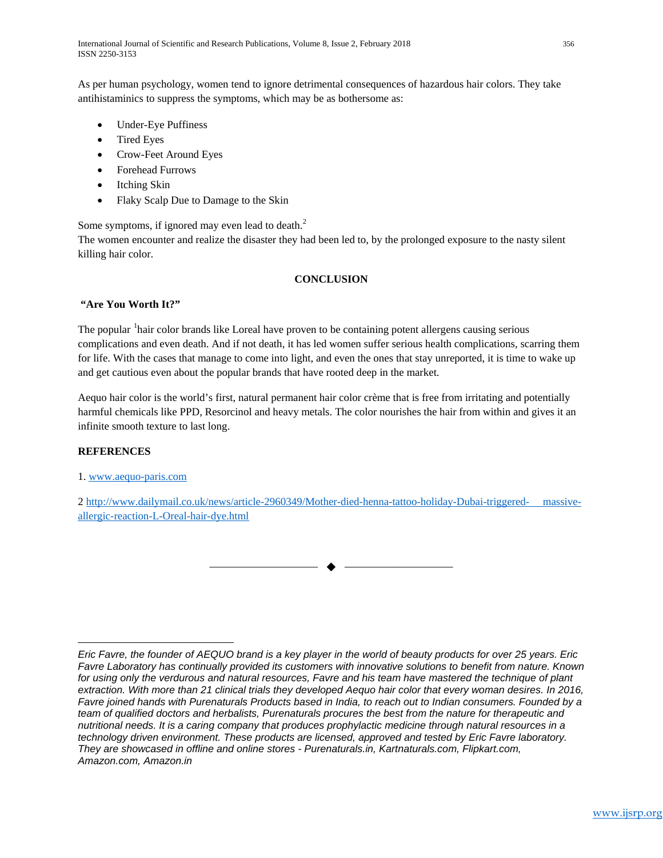As per human psychology, women tend to ignore detrimental consequences of hazardous hair colors. They take antihistaminics to suppress the symptoms, which may be as bothersome as:

- Under-Eye Puffiness
- Tired Eyes
- Crow-Feet Around Eyes
- Forehead Furrows
- Itching Skin
- Flaky Scalp Due to Damage to the Skin

Some symptoms, if ignored may even lead to death. $2$ 

The women encounter and realize the disaster they had been led to, by the prolonged exposure to the nasty silent killing hair color.

## **CONCLUSION**

## **"Are You Worth It?"**

The popular <sup>[1](#page-0-0)</sup>hair color brands like Loreal have proven to be containing potent allergens causing serious complications and even death. And if not death, it has led women suffer serious health complications, scarring them for life. With the cases that manage to come into light, and even the ones that stay unreported, it is time to wake up and get cautious even about the popular brands that have rooted deep in the market.

Aequo hair color is the world's first, natural permanent hair color crème that is free from irritating and potentially harmful chemicals like PPD, Resorcinol and heavy metals. The color nourishes the hair from within and gives it an infinite smooth texture to last long.

## **REFERENCES**

 $\overline{a}$ 

## 1. [www.aequo-paris.com](http://www.aequo-paris.com/)

[2 http://www.dailymail.co.uk/news/article-2960349/Mother-died-henna-tattoo-holiday-Dubai-triggered- massive](http://www.dailymail.co.uk/news/article-2960349/Mother-died-henna-tattoo-holiday-Dubai-triggered-%20%20%20%20%20massive-allergic-reaction-L-Oreal-hair-dye.html)[allergic-reaction-L-Oreal-hair-dye.html](http://www.dailymail.co.uk/news/article-2960349/Mother-died-henna-tattoo-holiday-Dubai-triggered-%20%20%20%20%20massive-allergic-reaction-L-Oreal-hair-dye.html)

—————————— ——————————

<span id="page-3-0"></span>*Eric Favre, the founder of AEQUO brand is a key player in the world of beauty products for over 25 years. Eric Favre Laboratory has continually provided its customers with innovative solutions to benefit from nature. Known for using only the verdurous and natural resources, Favre and his team have mastered the technique of plant extraction. With more than 21 clinical trials they developed Aequo hair color that every woman desires. In 2016, Favre joined hands with Purenaturals Products based in India, to reach out to Indian consumers. Founded by a team of qualified doctors and herbalists, Purenaturals procures the best from the nature for therapeutic and nutritional needs. It is a caring company that produces prophylactic medicine through natural resources in a technology driven environment. These products are licensed, approved and tested by Eric Favre laboratory. They are showcased in offline and online stores - Purenaturals.in, Kartnaturals.com, Flipkart.com, Amazon.com, Amazon.in*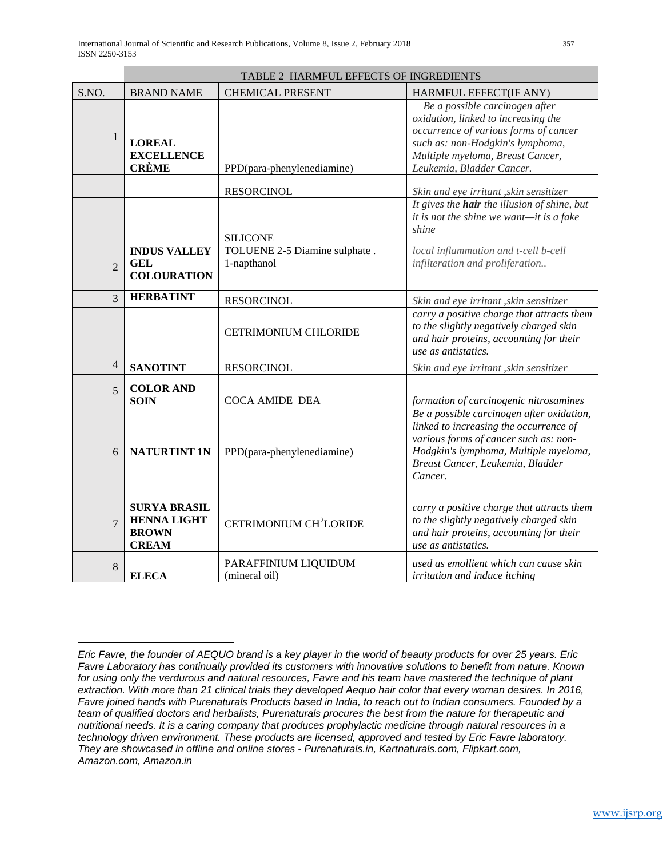|                | TABLE 2 HARMFUL EFFECTS OF INGREDIENTS                                    |                                              |                                                                                                                                                                                                                      |
|----------------|---------------------------------------------------------------------------|----------------------------------------------|----------------------------------------------------------------------------------------------------------------------------------------------------------------------------------------------------------------------|
| S.NO.          | <b>BRAND NAME</b>                                                         | <b>CHEMICAL PRESENT</b>                      | HARMFUL EFFECT(IF ANY)                                                                                                                                                                                               |
| $\mathbf{1}$   | <b>LOREAL</b><br><b>EXCELLENCE</b><br><b>CRÈME</b>                        | PPD(para-phenylenediamine)                   | Be a possible carcinogen after<br>oxidation, linked to increasing the<br>occurrence of various forms of cancer<br>such as: non-Hodgkin's lymphoma,<br>Multiple myeloma, Breast Cancer,<br>Leukemia, Bladder Cancer.  |
|                |                                                                           | <b>RESORCINOL</b>                            | Skin and eye irritant , skin sensitizer                                                                                                                                                                              |
|                |                                                                           | <b>SILICONE</b>                              | It gives the hair the illusion of shine, but<br>it is not the shine we want-it is a fake<br>shine                                                                                                                    |
| $\overline{2}$ | <b>INDUS VALLEY</b><br><b>GEL</b><br><b>COLOURATION</b>                   | TOLUENE 2-5 Diamine sulphate.<br>1-napthanol | local inflammation and t-cell b-cell<br>infilteration and proliferation                                                                                                                                              |
| 3              | <b>HERBATINT</b>                                                          | <b>RESORCINOL</b>                            | Skin and eye irritant , skin sensitizer                                                                                                                                                                              |
|                |                                                                           | <b>CETRIMONIUM CHLORIDE</b>                  | carry a positive charge that attracts them<br>to the slightly negatively charged skin<br>and hair proteins, accounting for their<br>use as antistatics.                                                              |
| $\overline{4}$ | <b>SANOTINT</b>                                                           | <b>RESORCINOL</b>                            | Skin and eye irritant , skin sensitizer                                                                                                                                                                              |
| 5              | <b>COLOR AND</b><br><b>SOIN</b>                                           | <b>COCA AMIDE DEA</b>                        | formation of carcinogenic nitrosamines                                                                                                                                                                               |
| 6              | <b>NATURTINT 1N</b>                                                       | PPD(para-phenylenediamine)                   | Be a possible carcinogen after oxidation,<br>linked to increasing the occurrence of<br>various forms of cancer such as: non-<br>Hodgkin's lymphoma, Multiple myeloma,<br>Breast Cancer, Leukemia, Bladder<br>Cancer. |
| 7              | <b>SURYA BRASIL</b><br><b>HENNA LIGHT</b><br><b>BROWN</b><br><b>CREAM</b> | CETRIMONIUM CH <sup>2</sup> LORIDE           | carry a positive charge that attracts them<br>to the slightly negatively charged skin<br>and hair proteins, accounting for their<br>use as antistatics.                                                              |
| 8              | <b>ELECA</b>                                                              | PARAFFINIUM LIQUIDUM<br>(mineral oil)        | used as emollient which can cause skin<br>irritation and induce itching                                                                                                                                              |

 $\overline{a}$ 

<span id="page-4-0"></span>*Eric Favre, the founder of AEQUO brand is a key player in the world of beauty products for over 25 years. Eric Favre Laboratory has continually provided its customers with innovative solutions to benefit from nature. Known for using only the verdurous and natural resources, Favre and his team have mastered the technique of plant extraction. With more than 21 clinical trials they developed Aequo hair color that every woman desires. In 2016, Favre joined hands with Purenaturals Products based in India, to reach out to Indian consumers. Founded by a team of qualified doctors and herbalists, Purenaturals procures the best from the nature for therapeutic and nutritional needs. It is a caring company that produces prophylactic medicine through natural resources in a technology driven environment. These products are licensed, approved and tested by Eric Favre laboratory. They are showcased in offline and online stores - Purenaturals.in, Kartnaturals.com, Flipkart.com, Amazon.com, Amazon.in*